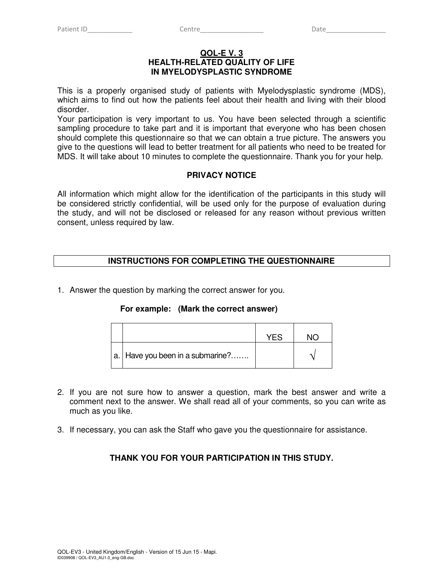#### **QOL-E V. 3 HEALTH-RELATED QUALITY OF LIFE IN MYELODYSPLASTIC SYNDROME**

This is a properly organised study of patients with Myelodysplastic syndrome (MDS), which aims to find out how the patients feel about their health and living with their blood disorder.

Your participation is very important to us. You have been selected through a scientific sampling procedure to take part and it is important that everyone who has been chosen should complete this questionnaire so that we can obtain a true picture. The answers you give to the questions will lead to better treatment for all patients who need to be treated for MDS. It will take about 10 minutes to complete the questionnaire. Thank you for your help.

## **PRIVACY NOTICE**

All information which might allow for the identification of the participants in this study will be considered strictly confidential, will be used only for the purpose of evaluation during the study, and will not be disclosed or released for any reason without previous written consent, unless required by law.

## **INSTRUCTIONS FOR COMPLETING THE QUESTIONNAIRE**

1. Answer the question by marking the correct answer for you.

## **For example: (Mark the correct answer)**

|                                    | <b>YFS</b> |  |
|------------------------------------|------------|--|
| a.   Have you been in a submarine? |            |  |

- 2. If you are not sure how to answer a question, mark the best answer and write a comment next to the answer. We shall read all of your comments, so you can write as much as you like.
- 3. If necessary, you can ask the Staff who gave you the questionnaire for assistance.

## **THANK YOU FOR YOUR PARTICIPATION IN THIS STUDY.**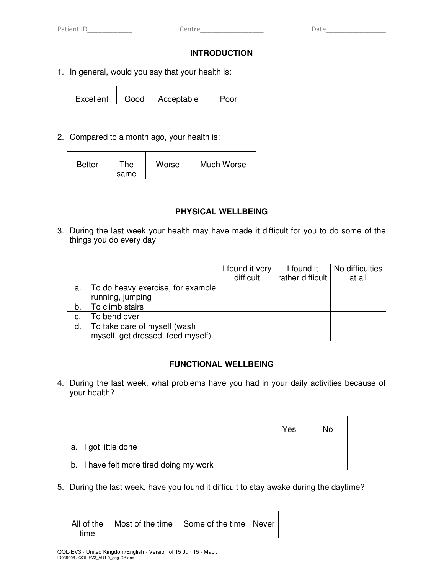## **INTRODUCTION**

1. In general, would you say that your health is:

Excellent | Good | Acceptable | Poor

2. Compared to a month ago, your health is:

| <b>Better</b> | ™he<br>same | Worse | Much Worse |
|---------------|-------------|-------|------------|
|---------------|-------------|-------|------------|

## **PHYSICAL WELLBEING**

3. During the last week your health may have made it difficult for you to do some of the things you do every day

|    |                                    | I found it very<br>difficult | I found it<br>rather difficult | No difficulties<br>at all |
|----|------------------------------------|------------------------------|--------------------------------|---------------------------|
| a. | To do heavy exercise, for example  |                              |                                |                           |
|    | running, jumping                   |                              |                                |                           |
| b. | To climb stairs                    |                              |                                |                           |
| C. | To bend over                       |                              |                                |                           |
| d. | To take care of myself (wash       |                              |                                |                           |
|    | myself, get dressed, feed myself). |                              |                                |                           |

## **FUNCTIONAL WELLBEING**

4. During the last week, what problems have you had in your daily activities because of your health?

|    |                                         | Yes | N٥ |
|----|-----------------------------------------|-----|----|
| а. | got little done                         |     |    |
|    | b. I have felt more tired doing my work |     |    |

5. During the last week, have you found it difficult to stay awake during the daytime?

 $\overline{\phantom{0}}$ 

| All of the   Most of the time   Some of the time   Never  <br>time |  |  |  |
|--------------------------------------------------------------------|--|--|--|
|--------------------------------------------------------------------|--|--|--|

 $\blacksquare$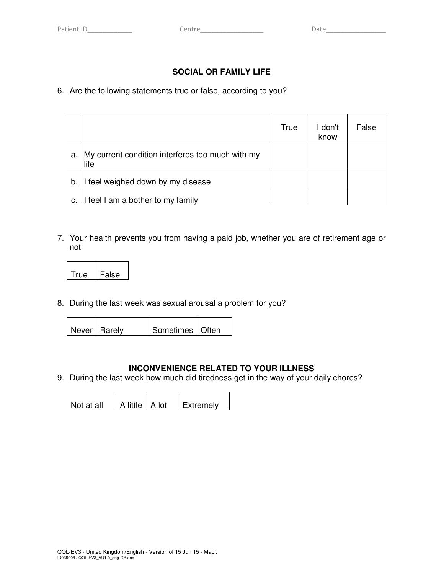# **SOCIAL OR FAMILY LIFE**

# 6. Are the following statements true or false, according to you?

|    |                                                          | True | I don't<br>know | False |
|----|----------------------------------------------------------|------|-----------------|-------|
| a. | My current condition interferes too much with my<br>life |      |                 |       |
| b. | I feel weighed down by my disease                        |      |                 |       |
| c. | I feel I am a bother to my family                        |      |                 |       |

7. Your health prevents you from having a paid job, whether you are of retirement age or not

| ▭ | ه. |
|---|----|

8. During the last week was sexual arousal a problem for you?

| Never   Rarely | Sometimes   Often |
|----------------|-------------------|

## **INCONVENIENCE RELATED TO YOUR ILLNESS**

9. During the last week how much did tiredness get in the way of your daily chores?

| Not at all | A little   A lot | LExtremely |
|------------|------------------|------------|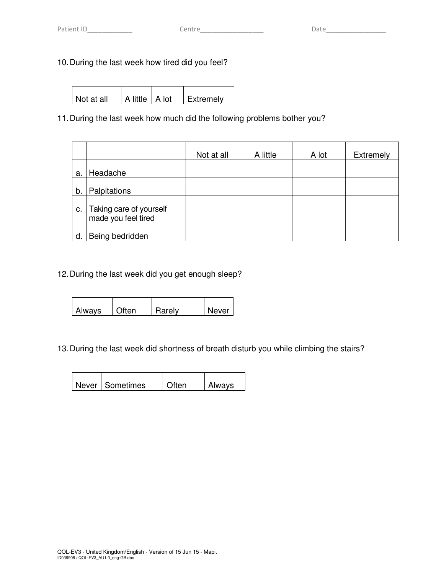# 10. During the last week how tired did you feel?

Not at all  $|A|$  little  $|A|$  lot  $|$  Extremely

# 11. During the last week how much did the following problems bother you?

|    |                                                | Not at all | A little | A lot | <b>Extremely</b> |
|----|------------------------------------------------|------------|----------|-------|------------------|
| a. | Headache                                       |            |          |       |                  |
| b. | Palpitations                                   |            |          |       |                  |
| C. | Taking care of yourself<br>made you feel tired |            |          |       |                  |
| d. | Being bedridden                                |            |          |       |                  |

12. During the last week did you get enough sleep?

| <b>Always</b> | Often | Rarely | Never |
|---------------|-------|--------|-------|

# 13. During the last week did shortness of breath disturb you while climbing the stairs?

| Never   Sometimes | l Often | <b>Always</b> |
|-------------------|---------|---------------|
|                   |         |               |